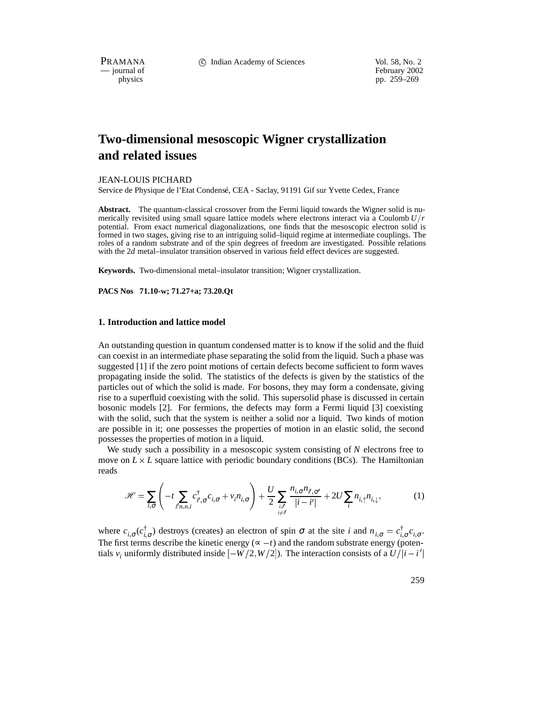PRAMANA c Indian Academy of Sciences Vol. 58, No. 2

physics<br>
physics<br>
pp. 259–269<br>
pp. 259–269 pp. 259–269

# **Two-dimensional mesoscopic Wigner crystallization and related issues**

JEAN-LOUIS PICHARD

Service de Physique de l'Etat Condensé, CEA - Saclay, 91191 Gif sur Yvette Cedex, France

**Abstract.** The quantum-classical crossover from the Fermi liquid towards the Wigner solid is numerically revisited using small square lattice models where electrons interact via a Coulomb  $U/r$ potential. From exact numerical diagonalizations, one finds that the mesoscopic electron solid is formed in two stages, giving rise to an intriguing solid–liquid regime at intermediate couplings. The roles of a random substrate and of the spin degrees of freedom are investigated. Possible relations with the 2*d* metal–insulator transition observed in various field effect devices are suggested.

**Keywords.** Two-dimensional metal–insulator transition; Wigner crystallization.

**PACS Nos 71.10-w; 71.27+a; 73.20.Qt**

#### **1. Introduction and lattice model**

An outstanding question in quantum condensed matter is to know if the solid and the fluid can coexist in an intermediate phase separating the solid from the liquid. Such a phase was suggested [1] if the zero point motions of certain defects become sufficient to form waves propagating inside the solid. The statistics of the defects is given by the statistics of the particles out of which the solid is made. For bosons, they may form a condensate, giving rise to a superfluid coexisting with the solid. This supersolid phase is discussed in certain bosonic models [2]. For fermions, the defects may form a Fermi liquid [3] coexisting with the solid, such that the system is neither a solid nor a liquid. Two kinds of motion are possible in it; one possesses the properties of motion in an elastic solid, the second possesses the properties of motion in a liquid.

We study such a possibility in a mesoscopic system consisting of *N* electrons free to move on  $L \times L$  square lattice with periodic boundary conditions (BCs). The Hamiltonian reads

$$
\mathcal{H} = \sum_{i,\sigma} \left( -t \sum_{i' n, n, i} c_{i',\sigma}^{\dagger} c_{i,\sigma} + v_i n_{i,\sigma} \right) + \frac{U}{2} \sum_{\substack{i,i' \\ i \neq i'}} \frac{n_{i,\sigma} n_{i',\sigma'}}{|i - i'|} + 2U \sum_{i} n_{i,\uparrow} n_{i,\downarrow}, \tag{1}
$$

where  $c_{i,\sigma}(c_{i,\sigma}^{\dagger})$  destroys (creates) an electron of spin  $\sigma$  at the site *i* and  $n_{i,\sigma} = c_{i,\sigma}^{\dagger}c_{i,\sigma}$ . The first terms describe the kinetic energy ( $\propto -t$ ) and the random substrate energy (potentials  $v_i$  uniformly distributed inside  $[-W/2, W/2]$ ). The interaction consists of a  $U/|i - i'|$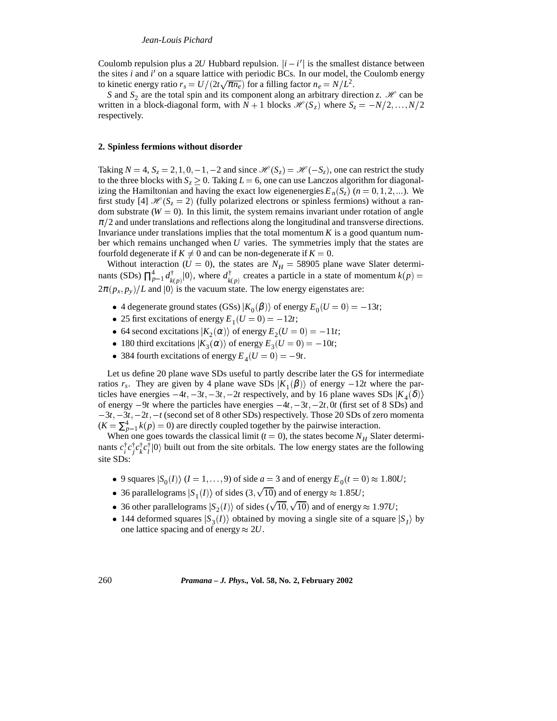Coulomb repulsion plus a 2*U* Hubbard repulsion.  $|i - i'|$  is the smallest distance between the sites *i* and *i'* on a square lattice with periodic BCs. In our model, the Coulomb energy to kinetic energy ratio  $r_s = U/(2t\sqrt{\pi n_e})$  for a filling factor  $n_e = N/L^2$ .

*S* and  $S_2$  are the total spin and its component along an arbitrary direction *z*. H can be written in a block-diagonal form, with  $N + 1$  blocks  $\mathcal{H}(S_z)$  where  $S_z = -N/2, \ldots, N/2$ respectively.

#### **2. Spinless fermions without disorder**

Taking  $N = 4$ ,  $S_z = 2, 1, 0, -1, -2$  and since  $\mathcal{H}(S_z) = \mathcal{H}(-S_z)$ , one can restrict the study to the three blocks with  $S_z \ge 0$ . Taking  $L = 6$ , one can use Lanczos algorithm for diagonalizing the Hamiltonian and having the exact low eigenenergies  $E_n(S_z)$  ( $n = 0, 1, 2, ...$ ). We first study [4]  $\mathcal{H}(S_z = 2)$  (fully polarized electrons or spinless fermions) without a random substrate  $(W = 0)$ . In this limit, the system remains invariant under rotation of angle  $\pi/2$  and under translations and reflections along the longitudinal and transverse directions. Invariance under translations implies that the total momentum  $K$  is a good quantum number which remains unchanged when *U* varies. The symmetries imply that the states are fourfold degenerate if  $K \neq 0$  and can be non-degenerate if  $K = 0$ .

Without interaction ( $U = 0$ ), the states are  $N_H = 58905$  plane wave Slater determinants (SDs)  $\prod_{p=1}^{4} d^{\dagger}_{k(p)} |0\rangle$ , where  $d^{\dagger}_{k(p)}$  creates a particle in a state of momentum  $k(p) =$  $2\pi(p_x, p_y)/L$  and  $|0\rangle$  is the vacuum state. The low energy eigenstates are:

- $\bullet$  4 degenerate ground states (GSs) |*K*<sub>0</sub>(β)) of energy  $E_0(U = 0) = -13t$ ;
- 25 first excitations of energy  $E_1(U=0) = -12t$ ;
- 64 second excitations  $|K_2(\alpha)\rangle$  of energy  $E_2(U=0) = -11t$ ;
- 180 third excitations  $|K_3(\alpha)\rangle$  of energy  $E_3(U=0) = -10t$ ;
- 384 fourth excitations of energy  $E_4(U=0) = -9t$ .

Let us define 20 plane wave SDs useful to partly describe later the GS for intermediate ratios  $r_s$ . They are given by 4 plane wave SDs  $|K_1(\beta)\rangle$  of energy  $-12t$  where the particles have energies  $-4t$ ,  $-3t$ ,  $-3t$ ,  $-2t$  respectively, and by 16 plane waves SDs  $|K_4(\delta)\rangle$ of energy  $-9t$  where the particles have energies  $-4t$ ,  $-3t$ ,  $-2t$ , 0*t* (first set of 8 SDs) and  $-3t$ ,  $-3t$ ,  $-2t$ ,  $-t$  (second set of 8 other SDs) respectively. Those 20 SDs of zero momenta  $(K = \sum_{p=1}^{4} k(p) = 0)$  are directly coupled together by the pairwise interaction.

When one goes towards the classical limit ( $t = 0$ ), the states become  $N_H$  Slater determinants  $c_i^{\dagger} c_j^{\dagger} c_i^{\dagger} |0\rangle$  built out from the site orbitals. The low energy states are the following site SDs:

- 9 squares  $|S_0(I)\rangle$  (*I* = 1, ..., 9) of side *a* = 3 and of energy  $E_0(t = 0) \approx 1.80U$ ;
- 36 parallelograms  $|S_1(I)\rangle$  of sides  $(3,\sqrt{10})$  and of energy  $\approx 1.85U$ ;
- 36 other parallelograms  $|S_2(I)\rangle$  of sides ( $\sqrt{10}, \sqrt{10}$ ) and of energy  $\approx 1.97U$ ;
- 144 deformed squares  $|S_3(I)\rangle$  obtained by moving a single site of a square  $|S_1\rangle$  by one lattice spacing and of energy  $\approx 2U$ .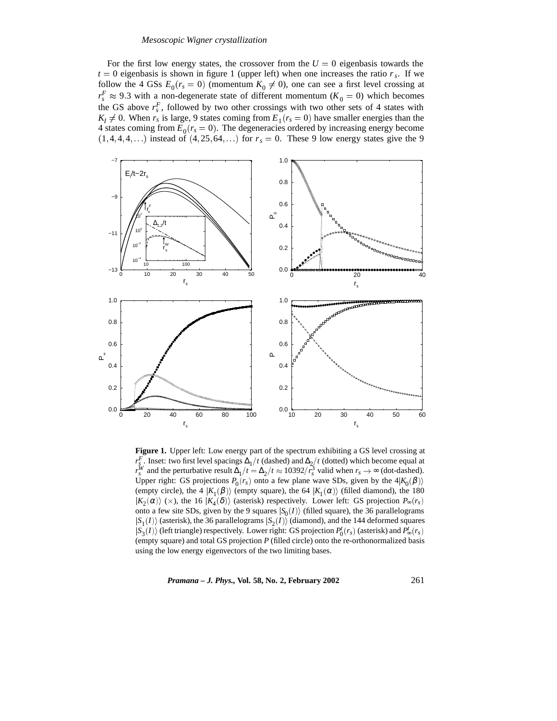For the first low energy states, the crossover from the  $U = 0$  eigenbasis towards the  $t = 0$  eigenbasis is shown in figure 1 (upper left) when one increases the ratio  $r<sub>s</sub>$ . If we follow the 4 GSs  $E_0(r_s = 0)$  (momentum  $K_0 \neq 0$ ), one can see a first level crossing at  $r_s^F \approx 9.3$  with a non-degenerate state of different momentum ( $K_0 = 0$ ) which becomes the GS above  $r_s^F$ , followed by two other crossings with two other sets of 4 states with  $K_I \neq 0$ . When  $r_s$  is large, 9 states coming from  $E_I(r_s = 0)$  have smaller energies than the 4 states coming from  $E_0(r_s = 0)$ . The degeneracies ordered by increasing energy become  $(1, 4, 4, 4, ...)$  instead of  $(4, 25, 64, ...)$  for  $r<sub>s</sub> = 0$ . These 9 low energy states give the 9



**Figure 1.** Upper left: Low energy part of the spectrum exhibiting a GS level crossing at *r*<sup>*F*</sup><sub>s</sub>. Inset: two first level spacings  $\Delta_1/t$  (dashed) and  $\Delta_2/t$  (dotted) which become equal at *r<sup>W</sup>* and the perturbative result  $\Delta_1/t = \Delta_2/t \approx 10392/r_s^3$  valid when  $r_s \to \infty$  (dot-dashed). Upper right: GS projections  $P_0(r_s)$  onto a few plane wave SDs, given by the  $4|K_0(\beta)\rangle$ (empty circle), the 4  $|K_1(\beta)\rangle$  (empty square), the 64  $|K_1(\alpha)\rangle$  (filled diamond), the 180  $|K_2(\alpha)\rangle$  ( $\times$ ), the 16  $|K_4(\delta)\rangle$  (asterisk) respectively. Lower left: GS projection  $P_{\infty}(r_s)$ onto a few site SDs, given by the 9 squares  $|S_0(I)\rangle$  (filled square), the 36 parallelograms  $|S_1(I)\rangle$  (asterisk), the 36 parallelograms  $|S_2(I)\rangle$  (diamond), and the 144 deformed squares  $|S_3(I)\rangle$  (left triangle) respectively. Lower right: GS projection  $P_0^t(r_s)$  (asterisk) and  $P_\infty^t(r_s)$ (empty square) and total GS projection *P* (filled circle) onto the re-orthonormalized basis using the low energy eigenvectors of the two limiting bases.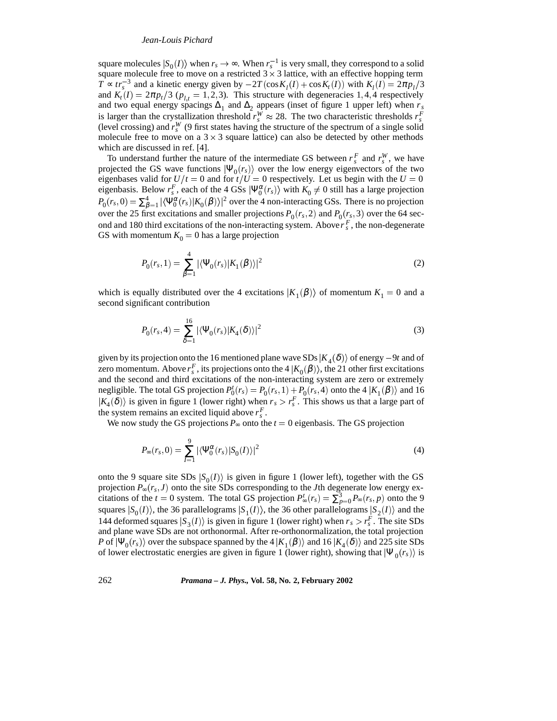## *Jean-Louis Pichard*

square molecules  $|S_0(I)\rangle$  when  $r_s \to \infty$ . When  $r_s^{-1}$  is very small, they correspond to a solid square molecule free to move on a restricted  $3 \times 3$  lattice, with an effective hopping term  $T \propto tr_s^{-3}$  and a kinetic energy given by  $-2T(\cos K_l(I) + \cos K_l(I))$  with  $K_l(I) = 2\pi p_l/3$ and  $K_t(I) = 2\pi p_t/3$  ( $p_{t,t} = 1, 2, 3$ ). This structure with degeneracies 1,4,4 respectively and two equal energy spacings  $\Delta_1$  and  $\Delta_2$  appears (inset of figure 1 upper left) when  $r_s$ is larger than the crystallization threshold  $r_s^W \approx 28$ . The two characteristic thresholds  $r_s^F$ (level crossing) and  $r_s^W$  (9 first states having the structure of the spectrum of a single solid molecule free to move on a  $3 \times 3$  square lattice) can also be detected by other methods which are discussed in ref. [4].

To understand further the nature of the intermediate GS between  $r_s^F$  and  $r_s^W$ , we have projected the GS wave functions  $|\Psi_0(r_s)\rangle$  over the low energy eigenvectors of the two eigenbases valid for  $U/t = 0$  and for  $t/U = 0$  respectively. Let us begin with the  $U = 0$ eigenbasis. Below  $r_s^F$ , each of the 4 GSs  $|\Psi_0^{\alpha}(r_s)\rangle$  with  $K_0 \neq 0$  still has a large projection  $P_0(r_s, 0) = \sum_{\beta=1}^4 |\langle \Psi_0^{\alpha}(r_s) | K_0(\beta) \rangle|^2$  over the 4 non-interacting GSs. There is no projection over the 25 first excitations and smaller projections  $P_0(r_s, 2)$  and  $P_0(r_s, 3)$  over the 64 second and 180 third excitations of the non-interacting system. Above  $r_s^F$ , the non-degenerate GS with momentum  $K_0 = 0$  has a large projection

$$
P_0(r_s, 1) = \sum_{\beta=1}^4 |\langle \Psi_0(r_s) | K_1(\beta) \rangle|^2
$$
 (2)

which is equally distributed over the 4 excitations  $|K_1(\beta)\rangle$  of momentum  $K_1 = 0$  and a second significant contribution

$$
P_0(r_s, 4) = \sum_{\delta=1}^{16} |\langle \Psi_0(r_s) | K_4(\delta) \rangle|^2
$$
 (3)

given by its projection onto the 16 mentioned plane wave  $SDs |K_4(\delta)\rangle$  of energy  $-9t$  and of zero momentum. Above  $r_s^F$ , its projections onto the 4  $|K_0(\beta)\rangle$ , the 21 other first excitations and the second and third excitations of the non-interacting system are zero or extremely negligible. The total GS projection  $P_0^t(r_s) = P_0(r_s, 1) + P_0(r_s, 4)$  onto the 4  $|K_1(\beta)\rangle$  and 16  $|K_4(\delta)\rangle$  is given in figure 1 (lower right) when  $r_s > r_s^F$ . This shows us that a large part of the system remains an excited liquid above  $r_s^F$ .

We now study the GS projections  $P_{\infty}$  onto the  $t = 0$  eigenbasis. The GS projection

$$
P_{\infty}(r_s,0) = \sum_{I=1}^{9} |\langle \Psi_0^{\alpha}(r_s) | S_0(I) \rangle|^2
$$
\n(4)

onto the 9 square site SDs  $|S_0(I)\rangle$  is given in figure 1 (lower left), together with the GS projection  $P_\infty(r_s, J)$  onto the site SDs corresponding to the *J*th degenerate low energy excitations of the  $t = 0$  system. The total GS projection  $P^t_{\infty}(r_s) = \sum_{p=0}^{3} P_{\infty}(r_s, p)$  onto the 9 squares  $|S_0(I)\rangle$ , the 36 parallelograms  $|S_1(I)\rangle$ , the 36 other parallelograms  $|S_2(I)\rangle$  and the 144 deformed squares  $|S_3(I)\rangle$  is given in figure 1 (lower right) when  $r_s > r_s^F$ . The site SDs and plane wave SDs are not orthonormal. After re-orthonormalization, the total projection *P* of  $|\Psi_0(r_s)\rangle$  over the subspace spanned by the 4  $|K_1(\beta)\rangle$  and 16  $|K_4(\delta)\rangle$  and 225 site SDs of lower electrostatic energies are given in figure 1 (lower right), showing that  $|\Psi_{0}(r_{s})\rangle$  is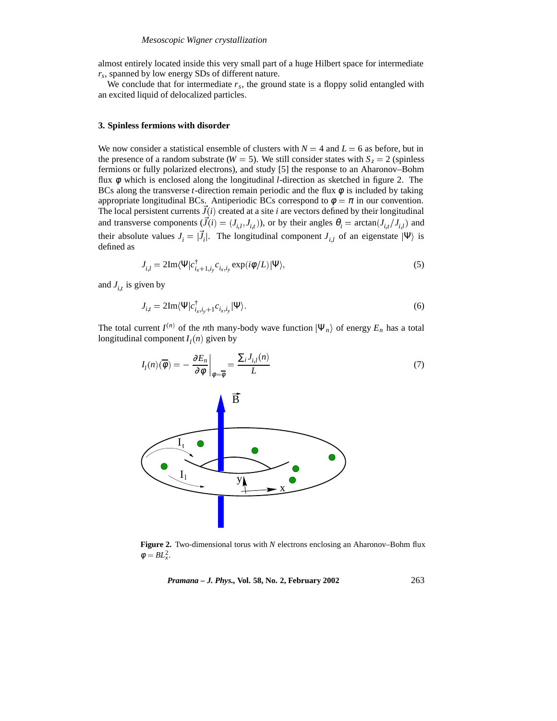almost entirely located inside this very small part of a huge Hilbert space for intermediate *rs*, spanned by low energy SDs of different nature.

We conclude that for intermediate  $r_s$ , the ground state is a floppy solid entangled with an excited liquid of delocalized particles.

#### **3. Spinless fermions with disorder**

We now consider a statistical ensemble of clusters with  $N = 4$  and  $L = 6$  as before, but in the presence of a random substrate ( $W = 5$ ). We still consider states with  $S_z = 2$  (spinless fermions or fully polarized electrons), and study [5] the response to an Aharonov–Bohm flux φ which is enclosed along the longitudinal *l*-direction as sketched in figure 2. The BCs along the transverse  $t$ -direction remain periodic and the flux  $\phi$  is included by taking appropriate longitudinal BCs. Antiperiodic BCs correspond to  $\phi = \pi$  in our convention. The local persistent currents  $\vec{J}(i)$  created at a site *i* are vectors defined by their longitudinal and transverse components  $(\vec{J}(i) = (J_{i,t}, J_{i,t}))$ , or by their angles  $\theta_i = \arctan(J_{i,t}/J_{i,t})$  and their absolute values  $J_i = |\vec{J}_i|$ . The longitudinal component  $J_{i,l}$  of an eigenstate  $|\Psi\rangle$  is defined as

$$
J_{i,l} = 2\mathrm{Im}\langle \Psi | c_{i_x+1,i_y}^{\dagger} c_{i_x,i_y} \exp(i\phi/L) | \Psi \rangle, \tag{5}
$$

and  $J_{i,t}$  is given by

$$
J_{i,t} = 2\mathrm{Im}\langle \Psi | c_{i_x, i_y+1}^{\dagger} c_{i_x, i_y} | \Psi \rangle. \tag{6}
$$

The total current *I*<sup>(*n*)</sup> of the *n*th many-body wave function  $|\Psi_n\rangle$  of energy  $E_n$  has a total longitudinal component  $I_i(n)$  given by

$$
I_l(n)(\overline{\phi}) = -\left. \frac{\partial E_n}{\partial \phi} \right|_{\phi = \overline{\phi}} = \frac{\sum_i J_{i,l}(n)}{L} \tag{7}
$$



**Figure 2.** Two-dimensional torus with *N* electrons enclosing an Aharonov–Bohm flux  $\phi = BL_x^2$ .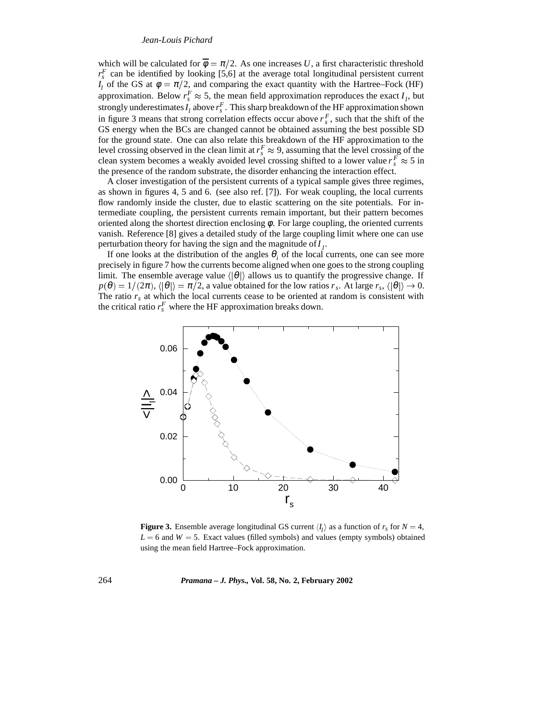## *Jean-Louis Pichard*

which will be calculated for  $\overline{\phi} = \pi/2$ . As one increases *U*, a first characteristic threshold  $r_s^F$  can be identified by looking [5,6] at the average total longitudinal persistent current *I*<sub>l</sub> of the GS at  $\phi = \pi/2$ , and comparing the exact quantity with the Hartree–Fock (HF) approximation. Below  $r_s^F \approx 5$ , the mean field approximation reproduces the exact  $I_i$ , but strongly underestimates  $I_l$  above  $r_s^F$ . This sharp breakdown of the HF approximation shown in figure 3 means that strong correlation effects occur above  $r_s^F$ , such that the shift of the GS energy when the BCs are changed cannot be obtained assuming the best possible SD for the ground state. One can also relate this breakdown of the HF approximation to the level crossing observed in the clean limit at  $r_s^F \approx 9$ , assuming that the level crossing of the clean system becomes a weakly avoided level crossing shifted to a lower value  $r_s^F \approx 5$  in the presence of the random substrate, the disorder enhancing the interaction effect.

A closer investigation of the persistent currents of a typical sample gives three regimes, as shown in figures 4, 5 and 6. (see also ref. [7]). For weak coupling, the local currents flow randomly inside the cluster, due to elastic scattering on the site potentials. For intermediate coupling, the persistent currents remain important, but their pattern becomes oriented along the shortest direction enclosing  $\phi$ . For large coupling, the oriented currents vanish. Reference [8] gives a detailed study of the large coupling limit where one can use perturbation theory for having the sign and the magnitude of  $I<sub>l</sub>$ .

If one looks at the distribution of the angles  $\theta_i$  of the local currents, one can see more precisely in figure 7 how the currents become aligned when one goes to the strong coupling limit. The ensemble average value  $\langle |\theta| \rangle$  allows us to quantify the progressive change. If  $p(\theta) = 1/(2\pi)$ ,  $\langle |\theta| \rangle = \pi/2$ , a value obtained for the low ratios  $r_s$ . At large  $r_s$ ,  $\langle |\theta| \rangle \rightarrow 0$ . The ratio  $r<sub>s</sub>$  at which the local currents cease to be oriented at random is consistent with the critical ratio  $r_s^F$  where the HF approximation breaks down.



**Figure 3.** Ensemble average longitudinal GS current  $\langle I_l \rangle$  as a function of  $r_s$  for  $N = 4$ ,  $L = 6$  and  $W = 5$ . Exact values (filled symbols) and values (empty symbols) obtained using the mean field Hartree–Fock approximation.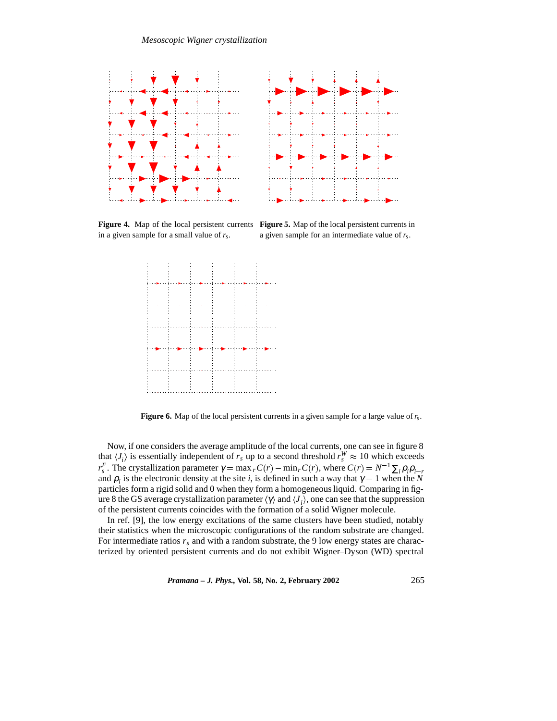

**Figure 4.** Map of the local persistent currents **Figure 5.** Map of the local persistent currents in in a given sample for a small value of *rs*.

a given sample for an intermediate value of *rs*.



**Figure 6.** Map of the local persistent currents in a given sample for a large value of*rs*.

Now, if one considers the average amplitude of the local currents, one can see in figure 8 that  $\langle J_i \rangle$  is essentially independent of  $r_s$  up to a second threshold  $r_s^W \approx 10$  which exceeds *r*<sup>*F*</sup></sup> . The crystallization parameter  $\gamma = \max_r C(r) - \min_r C(r)$ , where  $C(r) = N^{-1} \sum_i \rho_i \rho_{i-r}$ and  $\rho_i$  is the electronic density at the site *i*, is defined in such a way that  $\gamma = 1$  when the *N* particles form a rigid solid and 0 when they form a homogeneous liquid. Comparing in figure 8 the GS average crystallization parameter  $\langle \gamma \rangle$  and  $\langle J_i \rangle$ , one can see that the suppression of the persistent currents coincides with the formation of a solid Wigner molecule.

In ref. [9], the low energy excitations of the same clusters have been studied, notably their statistics when the microscopic configurations of the random substrate are changed. For intermediate ratios  $r_s$  and with a random substrate, the 9 low energy states are characterized by oriented persistent currents and do not exhibit Wigner–Dyson (WD) spectral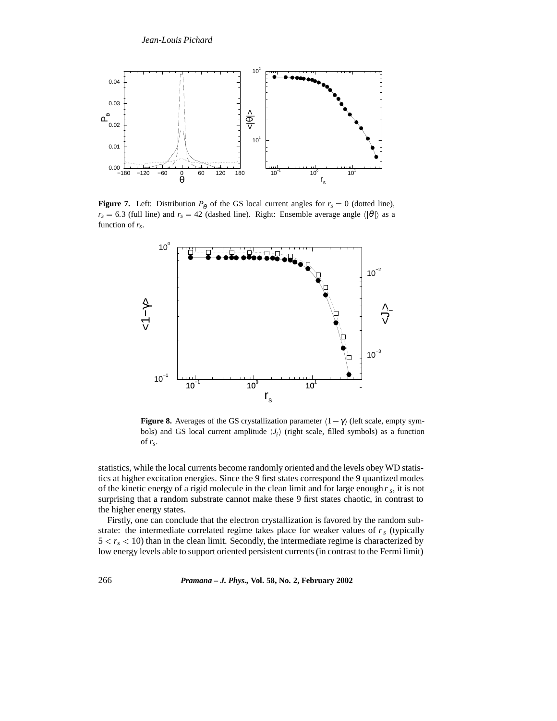

**Figure 7.** Left: Distribution  $P_{\theta}$  of the GS local current angles for  $r_s = 0$  (dotted line),  $r_s = 6.3$  (full line) and  $r_s = 42$  (dashed line). Right: Ensemble average angle  $\langle |\theta| \rangle$  as a function of  $r_s$ .



**Figure 8.** Averages of the GS crystallization parameter  $(1 - \gamma)$  (left scale, empty symbols) and GS local current amplitude  $\langle J_i \rangle$  (right scale, filled symbols) as a function of *rs*.

statistics, while the local currents become randomly oriented and the levels obey WD statistics at higher excitation energies. Since the 9 first states correspond the 9 quantized modes of the kinetic energy of a rigid molecule in the clean limit and for large enough  $r<sub>s</sub>$ , it is not surprising that a random substrate cannot make these 9 first states chaotic, in contrast to the higher energy states.

Firstly, one can conclude that the electron crystallization is favored by the random substrate: the intermediate correlated regime takes place for weaker values of  $r<sub>s</sub>$  (typically  $5 < r_s < 10$ ) than in the clean limit. Secondly, the intermediate regime is characterized by low energy levels able to support oriented persistent currents (in contrast to the Fermi limit)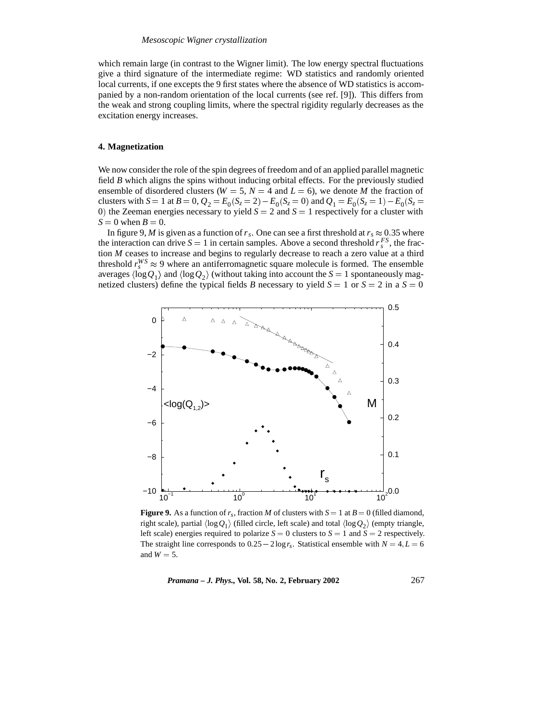which remain large (in contrast to the Wigner limit). The low energy spectral fluctuations give a third signature of the intermediate regime: WD statistics and randomly oriented local currents, if one excepts the 9 first states where the absence of WD statistics is accompanied by a non-random orientation of the local currents (see ref. [9]). This differs from the weak and strong coupling limits, where the spectral rigidity regularly decreases as the excitation energy increases.

#### **4. Magnetization**

We now consider the role of the spin degrees of freedom and of an applied parallel magnetic field *B* which aligns the spins without inducing orbital effects. For the previously studied ensemble of disordered clusters ( $W = 5$ ,  $N = 4$  and  $L = 6$ ), we denote *M* the fraction of clusters with  $S = 1$  at  $B = 0$ ,  $Q_2 = E_0(S_z = 2) - E_0(S_z = 0)$  and  $Q_1 = E_0(S_z = 1) - E_0(S_z = 1)$ 0) the Zeeman energies necessary to yield  $S = 2$  and  $S = 1$  respectively for a cluster with  $S = 0$  when  $B = 0$ .

In figure 9, *M* is given as a function of  $r_s$ . One can see a first threshold at  $r_s \approx 0.35$  where the interaction can drive  $S = 1$  in certain samples. Above a second threshold  $r_s^{FS}$ , the fraction *M* ceases to increase and begins to regularly decrease to reach a zero value at a third threshold  $r_s^{WS} \approx 9$  where an antiferromagnetic square molecule is formed. The ensemble averages  $\langle \log_2\rangle$  and  $\langle \log_2\rangle$  (without taking into account the *S* = 1 spontaneously magnetized clusters) define the typical fields *B* necessary to yield  $S = 1$  or  $S = 2$  in a  $S = 0$ 



**Figure 9.** As a function of  $r_s$ , fraction *M* of clusters with  $S = 1$  at  $B = 0$  (filled diamond, right scale), partial  $\langle \log \mathcal{Q}_1 \rangle$  (filled circle, left scale) and total  $\langle \log \mathcal{Q}_2 \rangle$  (empty triangle, left scale) energies required to polarize  $S = 0$  clusters to  $S = 1$  and  $S = 2$  respectively. The straight line corresponds to  $0.25 - 2\log r_s$ . Statistical ensemble with  $N = 4, L = 6$ and  $W = 5$ .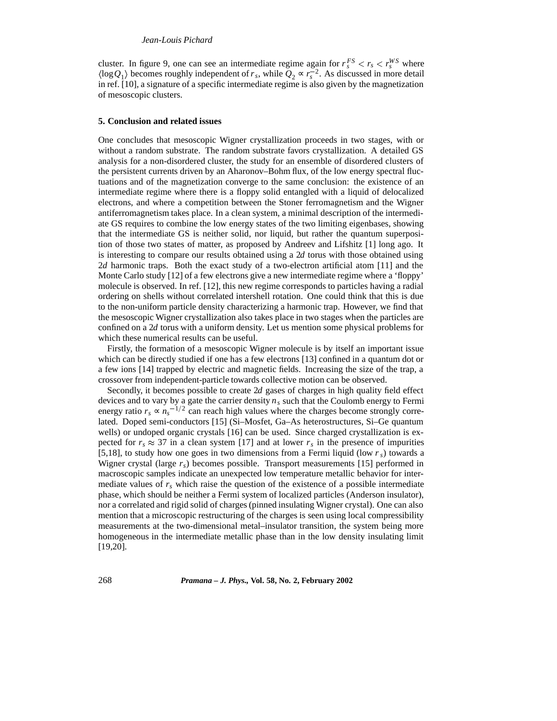cluster. In figure 9, one can see an intermediate regime again for  $r_s^{FS} < r_s < r_s^{WS}$  where  $\langle \log Q_1 \rangle$  becomes roughly independent of  $r_s$ , while  $Q_2 \propto r_s^{-2}$ . As discussed in more detail in ref. [10], a signature of a specific intermediate regime is also given by the magnetization of mesoscopic clusters.

#### **5. Conclusion and related issues**

One concludes that mesoscopic Wigner crystallization proceeds in two stages, with or without a random substrate. The random substrate favors crystallization. A detailed GS analysis for a non-disordered cluster, the study for an ensemble of disordered clusters of the persistent currents driven by an Aharonov–Bohm flux, of the low energy spectral fluctuations and of the magnetization converge to the same conclusion: the existence of an intermediate regime where there is a floppy solid entangled with a liquid of delocalized electrons, and where a competition between the Stoner ferromagnetism and the Wigner antiferromagnetism takes place. In a clean system, a minimal description of the intermediate GS requires to combine the low energy states of the two limiting eigenbases, showing that the intermediate GS is neither solid, nor liquid, but rather the quantum superposition of those two states of matter, as proposed by Andreev and Lifshitz [1] long ago. It is interesting to compare our results obtained using a 2*d* torus with those obtained using 2*d* harmonic traps. Both the exact study of a two-electron artificial atom [11] and the Monte Carlo study [12] of a few electrons give a new intermediate regime where a 'floppy' molecule is observed. In ref. [12], this new regime corresponds to particles having a radial ordering on shells without correlated intershell rotation. One could think that this is due to the non-uniform particle density characterizing a harmonic trap. However, we find that the mesoscopic Wigner crystallization also takes place in two stages when the particles are confined on a 2*d* torus with a uniform density. Let us mention some physical problems for which these numerical results can be useful.

Firstly, the formation of a mesoscopic Wigner molecule is by itself an important issue which can be directly studied if one has a few electrons [13] confined in a quantum dot or a few ions [14] trapped by electric and magnetic fields. Increasing the size of the trap, a crossover from independent-particle towards collective motion can be observed.

Secondly, it becomes possible to create 2*d* gases of charges in high quality field effect devices and to vary by a gate the carrier density  $n<sub>s</sub>$  such that the Coulomb energy to Fermi energy ratio  $r_s \propto n_s^{-1/2}$  can reach high values where the charges become strongly correlated. Doped semi-conductors [15] (Si–Mosfet, Ga–As heterostructures, Si–Ge quantum wells) or undoped organic crystals [16] can be used. Since charged crystallization is expected for  $r_s \approx 37$  in a clean system [17] and at lower  $r_s$  in the presence of impurities [5,18], to study how one goes in two dimensions from a Fermi liquid (low *rs*) towards a Wigner crystal (large *rs*) becomes possible. Transport measurements [15] performed in macroscopic samples indicate an unexpected low temperature metallic behavior for intermediate values of  $r<sub>s</sub>$  which raise the question of the existence of a possible intermediate phase, which should be neither a Fermi system of localized particles (Anderson insulator), nor a correlated and rigid solid of charges (pinned insulating Wigner crystal). One can also mention that a microscopic restructuring of the charges is seen using local compressibility measurements at the two-dimensional metal–insulator transition, the system being more homogeneous in the intermediate metallic phase than in the low density insulating limit [19,20].